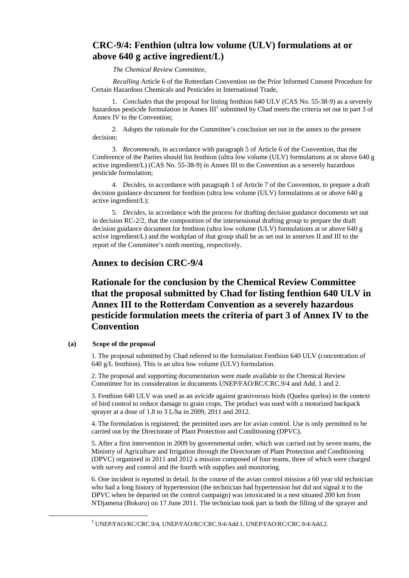## **CRC-9/4: Fenthion (ultra low volume (ULV) formulations at or above 640 g active ingredient/L)**

*The Chemical Review Committee,* 

*Recalling* Article 6 of the Rotterdam Convention on the Prior Informed Consent Procedure for Certain Hazardous Chemicals and Pesticides in International Trade,

1. *Concludes* that the proposal for listing fenthion 640 ULV (CAS No. 55-38-9) as a severely hazardous pesticide formulation in Annex  $III<sup>1</sup>$  submitted by Chad meets the criteria set out in part 3 of Annex IV to the Convention;

2. A*dopts* the rationale for the Committee's conclusion set out in the annex to the present decision;

3. *Recommends,* in accordance with paragraph 5 of Article 6 of the Convention, that the Conference of the Parties should list fenthion (ultra low volume (ULV) formulations at or above 640 g active ingredient/L) (CAS No. 55-38-9) in Annex III to the Convention as a severely hazardous pesticide formulation;

4. *Decides,* in accordance with paragraph 1 of Article 7 of the Convention, to prepare a draft decision guidance document for fenthion (ultra low volume (ULV) formulations at or above 640 g active ingredient/L);

5. *Decides*, in accordance with the process for drafting decision guidance documents set out in decision RC-2/2, that the composition of the intersessional drafting group to prepare the draft decision guidance document for fenthion (ultra low volume (ULV) formulations at or above 640 g active ingredient/L) and the workplan of that group shall be as set out in annexes II and III to the report of the Committee's ninth meeting, respectively.

## **Annex to decision CRC-9/4**

## **Rationale for the conclusion by the Chemical Review Committee that the proposal submitted by Chad for listing fenthion 640 ULV in Annex III to the Rotterdam Convention as a severely hazardous pesticide formulation meets the criteria of part 3 of Annex IV to the Convention**

#### **(a) Scope of the proposal**

1. The proposal submitted by Chad referred to the formulation Fenthion 640 ULV (concentration of 640 g/L fenthion). This is an ultra low volume (ULV) formulation.

2. The proposal and supporting documentation were made available to the Chemical Review Committee for its consideration in documents UNEP/FAO/RC/CRC.9/4 and Add. 1 and 2.

3. Fenthion 640 ULV was used as an avicide against granivorous birds (Quelea quelea) in the context of bird control to reduce damage to grain crops. The product was used with a motorized backpack sprayer at a dose of 1.8 to 3 L/ha in 2009, 2011 and 2012.

4. The formulation is registered; the permitted uses are for avian control. Use is only permitted to be carried out by the Directorate of Plant Protection and Conditioning (DPVC).

5. After a first intervention in 2009 by governmental order, which was carried out by seven teams, the Ministry of Agriculture and Irrigation through the Directorate of Plant Protection and Conditioning (DPVC) organized in 2011 and 2012 a mission composed of four teams, three of which were charged with survey and control and the fourth with supplies and monitoring.

6. One incident is reported in detail. In the course of the avian control mission a 60 year old technician who had a long history of hypertension (the technician had hypertension but did not signal it to the DPVC when he departed on the control campaign) was intoxicated in a nest situated 200 km from N'Djamena (Bokoro) on 17 June 2011. The technician took part in both the filling of the sprayer and

<sup>&</sup>lt;u>1</u> UNEP/FAO/RC/CRC.9/4, UNEP/FAO/RC/CRC.9/4/Add.1, UNEP/FAO/RC/CRC.9/4/Add.2.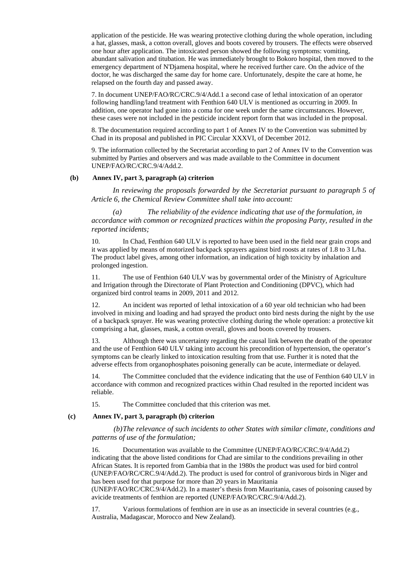application of the pesticide. He was wearing protective clothing during the whole operation, including a hat, glasses, mask, a cotton overall, gloves and boots covered by trousers. The effects were observed one hour after application. The intoxicated person showed the following symptoms: vomiting, abundant salivation and titubation. He was immediately brought to Bokoro hospital, then moved to the emergency department of N'Djamena hospital, where he received further care. On the advice of the doctor, he was discharged the same day for home care. Unfortunately, despite the care at home, he relapsed on the fourth day and passed away.

7. In document UNEP/FAO/RC/CRC.9/4/Add.1 a second case of lethal intoxication of an operator following handling/land treatment with Fenthion 640 ULV is mentioned as occurring in 2009. In addition, one operator had gone into a coma for one week under the same circumstances. However, these cases were not included in the pesticide incident report form that was included in the proposal.

8. The documentation required according to part 1 of Annex IV to the Convention was submitted by Chad in its proposal and published in PIC Circular XXXVI, of December 2012.

9. The information collected by the Secretariat according to part 2 of Annex IV to the Convention was submitted by Parties and observers and was made available to the Committee in document UNEP/FAO/RC/CRC.9/4/Add.2.

#### **(b) Annex IV, part 3, paragraph (a) criterion**

*In reviewing the proposals forwarded by the Secretariat pursuant to paragraph 5 of Article 6, the Chemical Review Committee shall take into account:* 

*(a) The reliability of the evidence indicating that use of the formulation, in accordance with common or recognized practices within the proposing Party, resulted in the reported incidents;* 

10. In Chad, Fenthion 640 ULV is reported to have been used in the field near grain crops and it was applied by means of motorized backpack sprayers against bird roosts at rates of 1.8 to 3 L/ha. The product label gives, among other information, an indication of high toxicity by inhalation and prolonged ingestion.

11. The use of Fenthion 640 ULV was by governmental order of the Ministry of Agriculture and Irrigation through the Directorate of Plant Protection and Conditioning (DPVC), which had organized bird control teams in 2009, 2011 and 2012.

12. An incident was reported of lethal intoxication of a 60 year old technician who had been involved in mixing and loading and had sprayed the product onto bird nests during the night by the use of a backpack sprayer. He was wearing protective clothing during the whole operation: a protective kit comprising a hat, glasses, mask, a cotton overall, gloves and boots covered by trousers.

13. Although there was uncertainty regarding the causal link between the death of the operator and the use of Fenthion 640 ULV taking into account his precondition of hypertension, the operator's symptoms can be clearly linked to intoxication resulting from that use. Further it is noted that the adverse effects from organophosphates poisoning generally can be acute, intermediate or delayed.

14. The Committee concluded that the evidence indicating that the use of Fenthion 640 ULV in accordance with common and recognized practices within Chad resulted in the reported incident was reliable.

15. The Committee concluded that this criterion was met.

#### **(c) Annex IV, part 3, paragraph (b) criterion**

*(b) The relevance of such incidents to other States with similar climate, conditions and patterns of use of the formulation;* 

16. Documentation was available to the Committee (UNEP/FAO/RC/CRC.9/4/Add.2) indicating that the above listed conditions for Chad are similar to the conditions prevailing in other African States. It is reported from Gambia that in the 1980s the product was used for bird control (UNEP/FAO/RC/CRC.9/4/Add.2). The product is used for control of granivorous birds in Niger and has been used for that purpose for more than 20 years in Mauritania

(UNEP/FAO/RC/CRC.9/4/Add.2). In a master's thesis from Mauritania, cases of poisoning caused by avicide treatments of fenthion are reported (UNEP/FAO/RC/CRC.9/4/Add.2).

17. Various formulations of fenthion are in use as an insecticide in several countries (e.g., Australia, Madagascar, Morocco and New Zealand).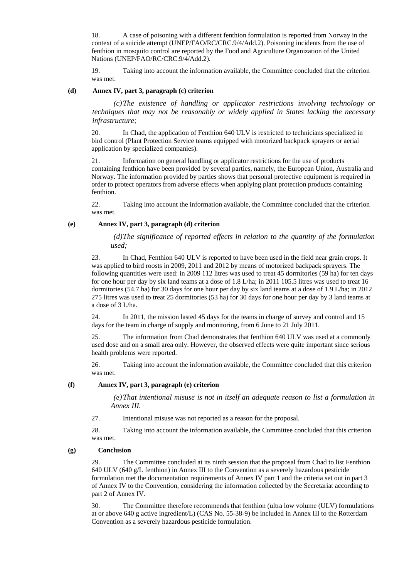18. A case of poisoning with a different fenthion formulation is reported from Norway in the context of a suicide attempt (UNEP/FAO/RC/CRC.9/4/Add.2). Poisoning incidents from the use of fenthion in mosquito control are reported by the Food and Agriculture Organization of the United Nations (UNEP/FAO/RC/CRC.9/4/Add.2).

19. Taking into account the information available, the Committee concluded that the criterion was met.

#### **(d) Annex IV, part 3, paragraph (c) criterion**

*(c) The existence of handling or applicator restrictions involving technology or techniques that may not be reasonably or widely applied in States lacking the necessary infrastructure;* 

20. In Chad, the application of Fenthion 640 ULV is restricted to technicians specialized in bird control (Plant Protection Service teams equipped with motorized backpack sprayers or aerial application by specialized companies).

21. Information on general handling or applicator restrictions for the use of products containing fenthion have been provided by several parties, namely, the European Union, Australia and Norway. The information provided by parties shows that personal protective equipment is required in order to protect operators from adverse effects when applying plant protection products containing fenthion.

22. Taking into account the information available, the Committee concluded that the criterion was met.

#### **(e) Annex IV, part 3, paragraph (d) criterion**

*(d) The significance of reported effects in relation to the quantity of the formulation used;* 

23. In Chad, Fenthion 640 ULV is reported to have been used in the field near grain crops. It was applied to bird roosts in 2009, 2011 and 2012 by means of motorized backpack sprayers. The following quantities were used: in 2009 112 litres was used to treat 45 dormitories (59 ha) for ten days for one hour per day by six land teams at a dose of 1.8 L/ha; in 2011 105.5 litres was used to treat 16 dormitories (54.7 ha) for 30 days for one hour per day by six land teams at a dose of 1.9 L/ha; in 2012 275 litres was used to treat 25 dormitories (53 ha) for 30 days for one hour per day by 3 land teams at a dose of 3 L/ha.

24. In 2011, the mission lasted 45 days for the teams in charge of survey and control and 15 days for the team in charge of supply and monitoring, from 6 June to 21 July 2011.

25. The information from Chad demonstrates that fenthion 640 ULV was used at a commonly used dose and on a small area only. However, the observed effects were quite important since serious health problems were reported.

26. Taking into account the information available, the Committee concluded that this criterion was met.

#### **(f) Annex IV, part 3, paragraph (e) criterion**

*(e) That intentional misuse is not in itself an adequate reason to list a formulation in Annex III.* 

27. Intentional misuse was not reported as a reason for the proposal.

28. Taking into account the information available, the Committee concluded that this criterion was met.

#### **(g) Conclusion**

29. The Committee concluded at its ninth session that the proposal from Chad to list Fenthion 640 ULV (640 g/L fenthion) in Annex III to the Convention as a severely hazardous pesticide formulation met the documentation requirements of Annex IV part 1 and the criteria set out in part 3 of Annex IV to the Convention, considering the information collected by the Secretariat according to part 2 of Annex IV.

30. The Committee therefore recommends that fenthion (ultra low volume (ULV) formulations at or above 640 g active ingredient/L) (CAS No. 55-38-9) be included in Annex III to the Rotterdam Convention as a severely hazardous pesticide formulation.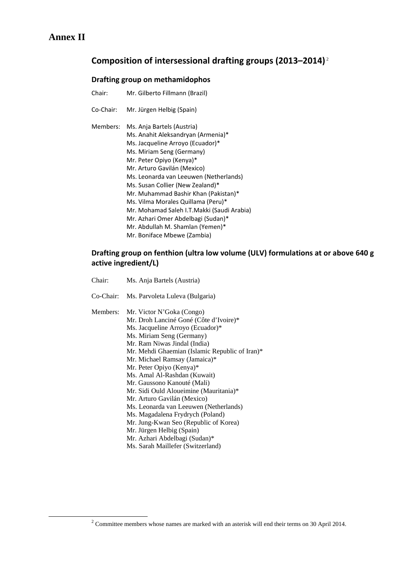## **Annex II**

## **Composition of intersessional drafting groups (2013–2014)**<sup>2</sup>

#### **Drafting group on methamidophos**

Chair: Mr. Gilberto Fillmann (Brazil) Co‐Chair: Mr. Jürgen Helbig (Spain) Members: Ms. Anja Bartels (Austria) Ms. Anahit Aleksandryan (Armenia)\* Ms. Jacqueline Arroyo (Ecuador)\* Ms. Miriam Seng (Germany) Mr. Peter Opiyo (Kenya)\* Mr. Arturo Gavilán (Mexico) Ms. Leonarda van Leeuwen (Netherlands) Ms. Susan Collier (New Zealand)\* Mr. Muhammad Bashir Khan (Pakistan)\* Ms. Vilma Morales Quillama (Peru)\* Mr. Mohamad Saleh I.T.Makki (Saudi Arabia) Mr. Azhari Omer Abdelbagi (Sudan)\* Mr. Abdullah M. Shamlan (Yemen)\* Mr. Boniface Mbewe (Zambia)

#### **Drafting group on fenthion (ultra low volume (ULV) formulations at or above 640 g active ingredient/L)**

Chair: Ms. Anja Bartels (Austria)

Co-Chair: Ms. Parvoleta Luleva (Bulgaria)

Members: Mr. Victor N'Goka (Congo) Mr. Droh Lanciné Goné (Côte d'Ivoire)\* Ms. Jacqueline Arroyo (Ecuador)\* Ms. Miriam Seng (Germany) Mr. Ram Niwas Jindal (India) Mr. Mehdi Ghaemian (Islamic Republic of Iran)\* Mr. Michael Ramsay (Jamaica)\* Mr. Peter Opiyo (Kenya)\* Ms. Amal Al-Rashdan (Kuwait) Mr. Gaussono Kanouté (Mali) Mr. Sidi Ould Aloueimine (Mauritania)\* Mr. Arturo Gavilán (Mexico) Ms. Leonarda van Leeuwen (Netherlands) Ms. Magadalena Frydrych (Poland) Mr. Jung-Kwan Seo (Republic of Korea) Mr. Jürgen Helbig (Spain) Mr. Azhari Abdelbagi (Sudan)\* Ms. Sarah Maillefer (Switzerland)

 $\overline{\phantom{a}}$  $2$  Committee members whose names are marked with an asterisk will end their terms on 30 April 2014.